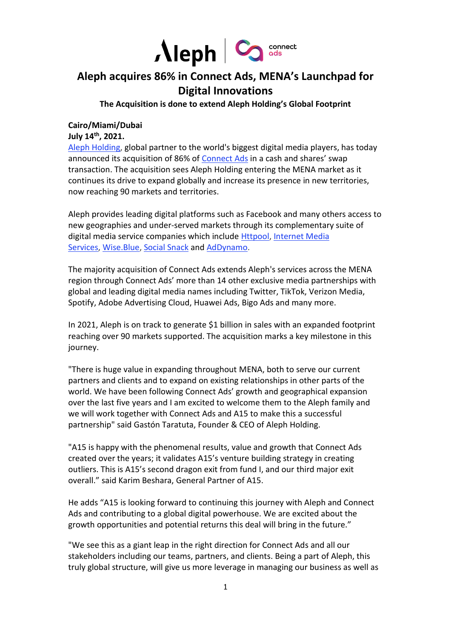

# **Aleph acquires 86% in Connect Ads, MENA's Launchpad for Digital Innovations**

**The Acquisition is done to extend Aleph Holding's Global Footprint**

## **Cairo/Miami/Dubai**

**July 14 th, 2021.**

[Aleph Holding,](https://www.alephholding.com/) global partner to the world's biggest digital media players, has today announced its acquisition of 86% of [Connect Ads](https://connectads.com/index.html) in a cash and shares' swap transaction. The acquisition sees Aleph Holding entering the MENA market as it continues its drive to expand globally and increase its presence in new territories, now reaching 90 markets and territories.

Aleph provides leading digital platforms such as Facebook and many others access to new geographies and under-served markets through its complementary suite of digital media service companies which include [Httpool,](https://c212.net/c/link/?t=0&l=en&o=3194648-1&h=2845485102&u=https%3A%2F%2Fwww.httpool.com%2F&a=Httpool) [Internet Media](https://c212.net/c/link/?t=0&l=en&o=3194648-1&h=499133436&u=https%3A%2F%2Fwww.imscorporate.com%2Fen%2Fhome-2&a=Internet+Media+Services)  [Services,](https://c212.net/c/link/?t=0&l=en&o=3194648-1&h=499133436&u=https%3A%2F%2Fwww.imscorporate.com%2Fen%2Fhome-2&a=Internet+Media+Services) [Wise.Blue,](https://c212.net/c/link/?t=0&l=en&o=3194648-1&h=4195042746&u=https%3A%2F%2Fwww.wise.blue%2F&a=Wise.Blue) [Social Snack](https://c212.net/c/link/?t=0&l=en&o=3194648-1&h=2149821715&u=https%3A%2F%2Fsocialsnack.com%2F&a=Social+Snack) and [AdDynamo.](http://www.addynamo.com/)

The majority acquisition of Connect Ads extends Aleph's services across the MENA region through Connect Ads' more than 14 other exclusive media partnerships with global and leading digital media names including Twitter, TikTok, Verizon Media, Spotify, Adobe Advertising Cloud, Huawei Ads, Bigo Ads and many more.

In 2021, Aleph is on track to generate \$1 billion in sales with an expanded footprint reaching over 90 markets supported. The acquisition marks a key milestone in this journey.

"There is huge value in expanding throughout MENA, both to serve our current partners and clients and to expand on existing relationships in other parts of the world. We have been following Connect Ads' growth and geographical expansion over the last five years and I am excited to welcome them to the Aleph family and we will work together with Connect Ads and A15 to make this a successful partnership" said Gastón Taratuta, Founder & CEO of Aleph Holding.

"A15 is happy with the phenomenal results, value and growth that Connect Ads created over the years; it validates A15's venture building strategy in creating outliers. This is A15's second dragon exit from fund I, and our third major exit overall." said Karim Beshara, General Partner of A15.

He adds "A15 is looking forward to continuing this journey with Aleph and Connect Ads and contributing to a global digital powerhouse. We are excited about the growth opportunities and potential returns this deal will bring in the future."

"We see this as a giant leap in the right direction for Connect Ads and all our stakeholders including our teams, partners, and clients. Being a part of Aleph, this truly global structure, will give us more leverage in managing our business as well as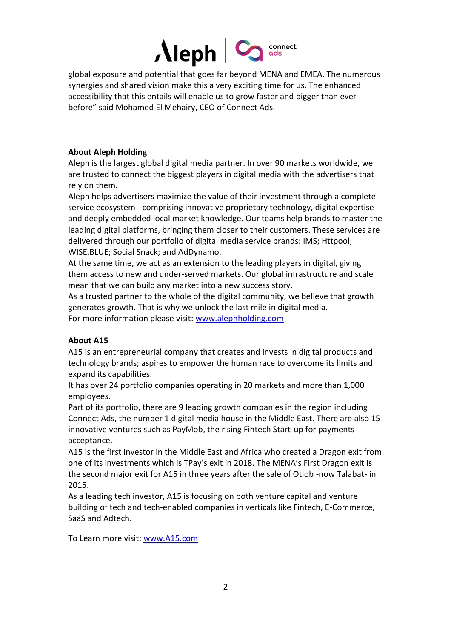

global exposure and potential that goes far beyond MENA and EMEA. The numerous synergies and shared vision make this a very exciting time for us. The enhanced accessibility that this entails will enable us to grow faster and bigger than ever before" said Mohamed El Mehairy, CEO of Connect Ads.

## **About Aleph Holding**

Aleph is the largest global digital media partner. In over 90 markets worldwide, we are trusted to connect the biggest players in digital media with the advertisers that rely on them.

Aleph helps advertisers maximize the value of their investment through a complete service ecosystem - comprising innovative proprietary technology, digital expertise and deeply embedded local market knowledge. Our teams help brands to master the leading digital platforms, bringing them closer to their customers. These services are delivered through our portfolio of digital media service brands: IMS; Httpool; WISE.BLUE; Social Snack; and AdDynamo.

At the same time, we act as an extension to the leading players in digital, giving them access to new and under-served markets. Our global infrastructure and scale mean that we can build any market into a new success story.

As a trusted partner to the whole of the digital community, we believe that growth generates growth. That is why we unlock the last mile in digital media. For more information please visit: www.alephholding.com

### **About A15**

A15 is an entrepreneurial company that creates and invests in digital products and technology brands; aspires to empower the human race to overcome its limits and expand its capabilities.

It has over 24 portfolio companies operating in 20 markets and more than 1,000 employees.

Part of its portfolio, there are 9 leading growth companies in the region including Connect Ads, the number 1 digital media house in the Middle East. There are also 15 innovative ventures such as PayMob, the rising Fintech Start-up for payments acceptance.

A15 is the first investor in the Middle East and Africa who created a Dragon exit from one of its investments which is TPay's exit in 2018. The MENA's First Dragon exit is the second major exit for A15 in three years after the sale of Otlob -now Talabat- in 2015.

As a leading tech investor, A15 is focusing on both venture capital and venture building of tech and tech-enabled companies in verticals like Fintech, E-Commerce, SaaS and Adtech.

To Learn more visit: [www.A15.com](http://www.a15.com/)